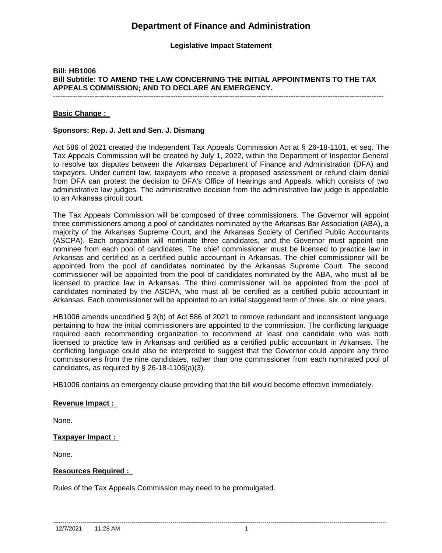# **Department of Finance and Administration**

#### **Legislative Impact Statement**

## **Bill: HB1006 Bill Subtitle: TO AMEND THE LAW CONCERNING THE INITIAL APPOINTMENTS TO THE TAX APPEALS COMMISSION; AND TO DECLARE AN EMERGENCY.**

**---------------------------------------------------------------------------------------------------------------------------------------**

#### **Basic Change :**

#### **Sponsors: Rep. J. Jett and Sen. J. Dismang**

Act 586 of 2021 created the Independent Tax Appeals Commission Act at § 26-18-1101, et seq. The Tax Appeals Commission will be created by July 1, 2022, within the Department of Inspector General to resolve tax disputes between the Arkansas Department of Finance and Administration (DFA) and taxpayers. Under current law, taxpayers who receive a proposed assessment or refund claim denial from DFA can protest the decision to DFA's Office of Hearings and Appeals, which consists of two administrative law judges. The administrative decision from the administrative law judge is appealable to an Arkansas circuit court.

The Tax Appeals Commission will be composed of three commissioners. The Governor will appoint three commissioners among a pool of candidates nominated by the Arkansas Bar Association (ABA), a majority of the Arkansas Supreme Court, and the Arkansas Society of Certified Public Accountants (ASCPA). Each organization will nominate three candidates, and the Governor must appoint one nominee from each pool of candidates. The chief commissioner must be licensed to practice law in Arkansas and certified as a certified public accountant in Arkansas. The chief commissioner will be appointed from the pool of candidates nominated by the Arkansas Supreme Court. The second commissioner will be appointed from the pool of candidates nominated by the ABA, who must all be licensed to practice law in Arkansas. The third commissioner will be appointed from the pool of candidates nominated by the ASCPA, who must all be certified as a certified public accountant in Arkansas. Each commissioner will be appointed to an initial staggered term of three, six, or nine years.

HB1006 amends uncodified § 2(b) of Act 586 of 2021 to remove redundant and inconsistent language pertaining to how the initial commissioners are appointed to the commission. The conflicting language required each recommending organization to recommend at least one candidate who was both licensed to practice law in Arkansas and certified as a certified public accountant in Arkansas. The conflicting language could also be interpreted to suggest that the Governor could appoint any three commissioners from the nine candidates, rather than one commissioner from each nominated pool of candidates, as required by  $\S$  26-18-1106(a)(3).

HB1006 contains an emergency clause providing that the bill would become effective immediately.

#### **Revenue Impact :**

None.

#### **Taxpayer Impact :**

None.

#### **Resources Required :**

Rules of the Tax Appeals Commission may need to be promulgated.